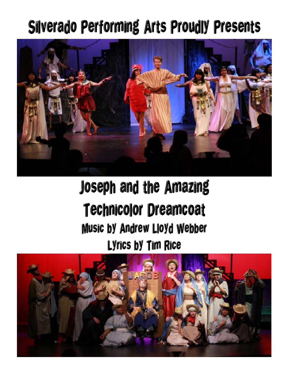## Silverado Performing Arts Proudly Presents



## Joseph and the Amazing Technicolor Dreamcoat Music by Andrew Lloyd Webber Lyrics by Tim Rice

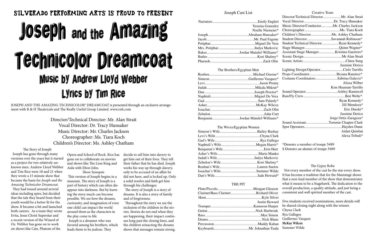### Joseph Cast List

| Yesenia Gonzalez |
|------------------|
| Noelle Niemeier* |
|                  |
|                  |
|                  |
|                  |
|                  |
|                  |
|                  |

#### The Brothers/Egyptian Men

| BenjaminJordan Matulef-Williams* |
|----------------------------------|
|                                  |

#### The Wives/Egyptian Women

#### THE PIT

| Clarinet/Bass ClarinetRichard Oliver |               |
|--------------------------------------|---------------|
|                                      |               |
|                                      | Justin Howard |
|                                      |               |
|                                      |               |
|                                      |               |
|                                      |               |
|                                      |               |
|                                      |               |
|                                      |               |

They had tossed around several ideas including spies, but decided that the tale they heard from their youth would be a better fit for the show. It became a hit and launched both careers. As a team they wrote Evita, Jesus Christ Superstar and a recent version of the Wizard of Oz. Webber has gone on to work on shows like Cats, Phatom of the

#### Creative Team

# SILVERADO PERFORMING ARTS IS PROUD TO PRESENT Joseph and the Amazing Technicolor Dreamcoat Music by Andrew Lloyd Webber Lyrics by Tim Rice

JOSEPH AND THE AMAZING TECHNICOLOR® DREAMCOAT is presented through an exclusive arrangement with R & H Theatricals and The Really Useful Group Limited. www.rnh.com

> Director/Technical Director: Mr. Alan Strait Vocal Director: Dr. Tracy Hunsaker Music Director: Mr. Charles Jackson Choreographer: Ms. Tiara Koch Children's Director: Ms. Ashley Chatham

The Story of Joseph

 Joseph has gone through many versions over the years but it started as a project for two relatively unknown men. Andrew Lloyd Webber and Tim Rice were 18 and 21 when they wrote a 15 minute show that became the basis for *Joseph and the Amazing Technicolor Dreamcoat.*

| ert             |                                                          |                       |
|-----------------|----------------------------------------------------------|-----------------------|
| lez             | Music Director/ConductorMr. Charles Jackson              |                       |
| $\mathrm{sr}^*$ |                                                          |                       |
| $\mathbf{r}^*$  |                                                          |                       |
| ne              | Student DirectorSavannah Robinson*                       |                       |
| era             | Student Technical DirectorRyan Kennedy*                  |                       |
| $\dot{c}$       |                                                          |                       |
| $s^*$           |                                                          |                       |
| y*              |                                                          |                       |
| in              |                                                          |                       |
|                 |                                                          | Jasmine Derico        |
|                 | Lighting Design/OperatorCielo Tarrillo                   |                       |
| $\mathrm{e}^*$  | Props CoordinatorBryana Ramirez*                         |                       |
| $z^*$           | Costume CoordinatorsSabrina Galaviz*                     |                       |
| ıty             |                                                          | Alissa Wilber         |
| ıt*             |                                                          | Kim Huaman-Tarrillo   |
| $r^*$           |                                                          |                       |
| ra              |                                                          |                       |
| $v^*$           |                                                          | Ryan Kennedy*         |
| O <sub>X</sub>  |                                                          | Jill Mendoza*         |
| lin             |                                                          | Eric Durski*          |
| urt             |                                                          | Jasmine Derico        |
| $s^*$           |                                                          | Jorge Ortiz-Zaragoza* |
|                 | Sound AssistantTommie Chapter-Clark                      |                       |
|                 |                                                          |                       |
| ay              |                                                          | Aidan Quinlan         |
| ark             |                                                          | Alexa Tribuli*        |
| go              |                                                          |                       |
| $s^*$           | *Denotes a member of troupe 5489                         |                       |
| ırt             | \$ Denotes an alumni of troupe 5489                      |                       |
| ko              |                                                          |                       |
| ic              |                                                          |                       |
| $v^*$           |                                                          |                       |
| ΟS              | The Gypsy Robe                                           |                       |
| de              | Not every member of the cast be the star every show.     |                       |
| *b              | It has become a tradition that for the Mainstage shows   |                       |
|                 | that a non-lead member of the show that demonstrates     |                       |
|                 | what it means to be a Stagehawk. The dedication to the   |                       |
| on              | overall production, a quality attitude, and just being a |                       |
| 'er             | consistent and well spirited member of the cast.         |                       |
| /er             |                                                          |                       |
| ard             | Five students received nominations, more details will    |                       |
| er              | be shared closing night along with the winner.           |                       |
| uk              | Chyna Clark                                              |                       |
| on              | Rya Gallegos                                             |                       |

Opera and School of Rock. Rice has gone on to collaborate on movies and shows like The Lion King and Aida with Elton John.

Show Synopsis This version of Joseph begins in a museum. The story of Joseph is a part of history which can often disappear into darkness. But by learning the story much can become possible. We see how the dreams, curiousity, and imagination of even one child can impact the world around them as the characters in the play come to life.

 Joseph is a dreamer who was favored among his brothers, which leads them to be jealous. They

decide to sell him into slavery to get him out of their lives. They tell their father that he has died. Joseph works his way up through slavery, only to be accused of an affair he did not have, and is locked up. Only a solid resolve and faith get him through his challenges.

 The story of Joseph is a story of dreams. It is also a story of family and of forgiveness.

 Throughout the story we see the inclusion of the children in the stories. Stories do not end when they are happening, their impact continues long past the closing lines, and the children reinacting the dreams shows that messages remain strong.

- Guillermo Vazquez
- **McKay Wilcox**
- 
- Summer Wilde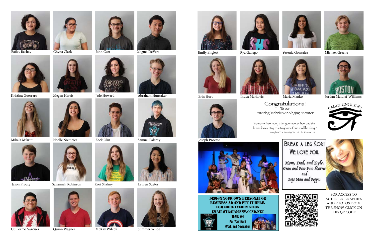











Jason Prouty Savannah Robinson Kori Shalmy Lauren Suetos





































Guillermo Vazquez Quinn Wagner McKay Wilcox Summer Wilde



















FOR ACCESS TO ACTOR BIOGRAPHIES AND PHOTOS FROM THE SHOW. CLICK ON THIS QR CODE.

Congratulations! To our Amazing Technicolor Singing Narrator

Joseph Proctor



DESIGN YOUR OWN PERSONAL OR business ad and put it here. business ad and put it here. For more information For more information email straiam@nv.ccsd.net email straiam@nv.ccsd.net



"No matter how many trials you face, or how bad the future looks, stay true to yourself and it will be okay." Joseph & The Amazing Technicolor Dreamcoat







## **BREAK A LEG KORI** WE LOVE YOU.

Mom, Dad, and Kyle.<br>Gran and Paw Paw Marree and Pops Nan and Poppa.



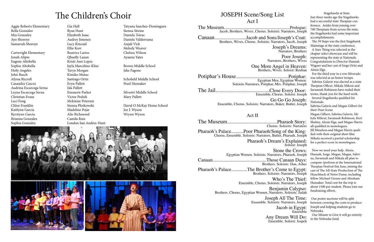## JOSEPH Scene/Song List

Act I

The Museum......................................................Prologue: Jacob, Brothers, Wives, Chorus. Soloists: Narrators, Joseph

Canaan..........................Jacob and Sons/Joseph's Coat: Brothers, Wives, Chorus. Soloists: Narrators, Jacob, Joseph

Joseph's Dreams: Narrators, Brothers

Poor Joseph: Narrators, Brothers, Wives

One More Angel in Heaven: Brothers, Wives. Soloist: Reuban

Potiphar's House...........................................Potiphar: Egyptian Men, Egyptian Women: Soloists Narrators, Potiphar, Mrs. Potiphar, Joseph

> Stone the Crows: etors, Pharaoh, Joseph

The Jail............................................Close Every Door: Ensemble, Chorus. Soloist: Joseph Go Go Go Joseph: Ensemble, Chorus. Soloists: Narrators, Baker, Butler, Joseph

## Act II

The Museum.........................................Pharaoh Story: Chorus. Soloists: Narrators Pharaoh's Palace..........Poor Pharaoh/Song of the King: Chorus, Ensemble. Soloists: Narrators, Butler, Pharoah, Joseph Pharaoh's Dream's Explained:

Soloist: Joseph

| Egyptian Women. Soloists: Narrators, Pharaoh, Joseph                                  |
|---------------------------------------------------------------------------------------|
|                                                                                       |
| Brothers. Soloists: Dan, Asher                                                        |
| Pharaoh's PalaceThe Brother's Come to Egypt:<br>Brothers. Soloists: Narrators, Joseph |
| Who's The Thief'                                                                      |

Who's The Thief: Ensemble, Chorus. Soloists: Narrators, Joseph

Benjamin Calypso: Brothers, Chorus, Egyptian Women, Narrators. Soloists: Judah

Joseph All The Time: Ensemble. Soloists: Narrators, Joseph

Jacob in Egypt: Ensemble

Any Dream Will Do: Ensemble. Soloist: Jospeh

Just three weeks ago the Stagehawks had a successful state Thespian conference. Asides from joining over 700 Thespians from across the state, the Stagehawks had some important accomplishments.

 The 39 Steps was the first Stagehawk Mainstage at the state conference.

 A Sure Thing was selected as the chapter select showcase and will be representing the state at Nationals. Congratulations to Director Hannah Wagner and her cast of Jorge Ortiz and Alexis Elge.

 For the third year in a row Silverado was selected as an honor troupe.

 Sabrina Galaviz was elected as a state Thespian Officer. Mikala Mikrut and Savannah Robinson have ended their terms, thank you for the hard work.

 Several Stagehawks qualified for Nationals.

Sabrina Galaviz and Megan Gilbert for their Duet Scene

Megan Gilbert, Sabrina Galaviz, Mikala Mikrut, Savannah Robinson, Kori Shalmy, Alexis Elge, and Megan Harris all qualified in monologues.

Jill Mendoza and Megan Harris qualified with their original short film. Mikala received a partial scholarship for a perfect score in monologues.

 Now we need your help. Alexis, Hannah, Jorge, Megan, Megan, Sabrina, Savannah and Mikala all plan to compete /perform at the International Thespian Festival this June, joining the cast of The All-State Production of The Hunchback of Notre Dame, including fellow Michael Greene and Abraham Hunsaker. Total cost for the trip is about 1500 per student. Please join our fundraising efforts.

 Our poster auctions will be split between covering the costs to produce Joseph and helping students go to Nebraska.

 Our Minute to Give it will go entirely to the Nebraska fund.

## The Children's Choir JOSEPH Scene/Song List Stagehawks at State

Aggie Roberts Elementary Bella Gonzalez Mia Gonzalez Ayo Shoroye Samarrah Shoroye

Cartwright Elementary Jonah Alipio Eugene Altobella Sophie Altobella Heily Angeles John Busch Alyssa Bycroft Casandra Cascos Audrina Escarcega Serna Leyna Escarcega Serna Christian Evans Luci Fong Chloe Franklin Kaitlynn Garcia Kyrstynn Garcia Brianna Gonzalez Sophia Gonzalez

Gia Hall Ryan Hunt Elizabeth Isaac Audrey Jimenez Lucy Kincaid Ellie Korr Beatrice Larios Qhuelly Lauan Kristi Ann Lopez Jayla Marcelino-Klise Taryn Morgan Kimiko Mutuc Santiago Ortiz Evyn Pallett Isla Pallett Emmerie Parker Victor Pedzik Mckinzie Petersen Sienna Plotkowski Madeline Pojar Alie Richmond Camila Ruiz London San Andres-Hunt

Tatyana Sanchez-Dominguez Sienna Siteine Daniela Toirac Daniela Valderrama Anjali Vick Melody Weaver Chelsea Wilson Ayanna Yates

Brown Middle School Jake Fagone

Schofield Middle School Pearl Hunsaker

Silvestri Middle School Mary Pallett

David O McKay Home School Joe J. Wyson Wrynn Wyson